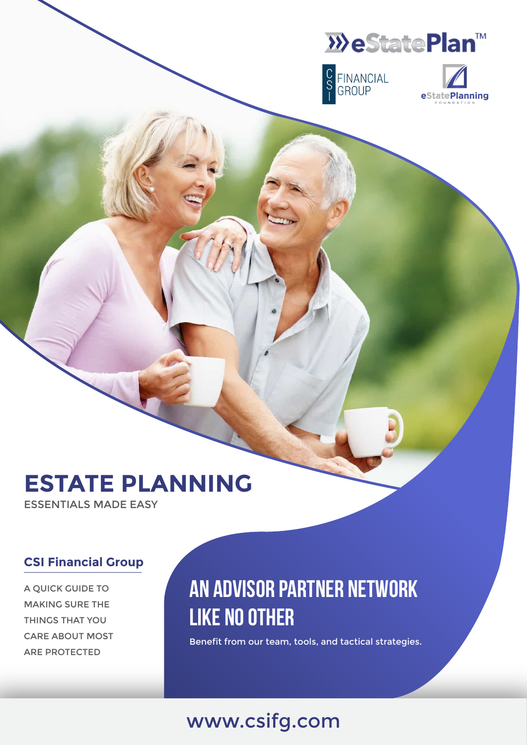





# **ESTATE PLANNING**

ESSENTIALS MADE EASY

#### **CSI Financial Group**

A QUICK GUIDE TO MAKING SURE THE THINGS THAT YOU CARE ABOUT MOST ARE PROTECTED

### **An Advisor Partner Network Like No Other**

Benefit from our team, tools, and tactical strategies.

### www.csifg.com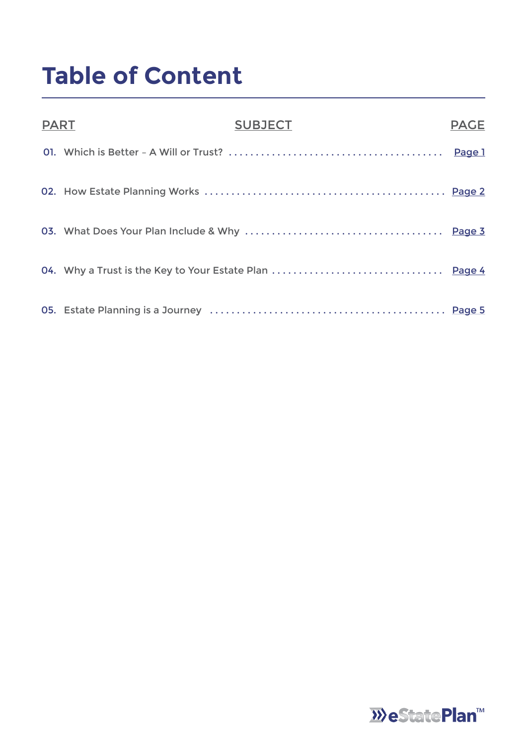# **Table of Content**

| <b>PART</b> | <b>SUBJECT</b> | <b>PAGE</b> |
|-------------|----------------|-------------|
|             |                |             |
|             |                |             |
|             |                |             |
|             |                |             |
|             |                |             |

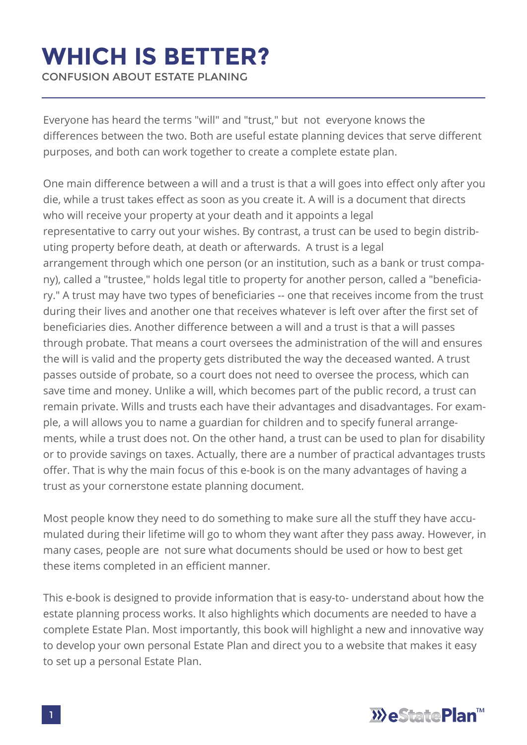### **WHICH IS BETTER?**

CONFUSION ABOUT ESTATE PLANING

Everyone has heard the terms "will" and "trust," but not everyone knows the differences between the two. Both are useful estate planning devices that serve different purposes, and both can work together to create a complete estate plan.

One main difference between a will and a trust is that a will goes into effect only after you die, while a trust takes effect as soon as you create it. A will is a document that directs who will receive your property at your death and it appoints a legal representative to carry out your wishes. By contrast, a trust can be used to begin distributing property before death, at death or afterwards. A trust is a legal arrangement through which one person (or an institution, such as a bank or trust company), called a "trustee," holds legal title to property for another person, called a "beneficiary." A trust may have two types of beneficiaries -- one that receives income from the trust during their lives and another one that receives whatever is left over after the first set of beneficiaries dies. Another difference between a will and a trust is that a will passes through probate. That means a court oversees the administration of the will and ensures the will is valid and the property gets distributed the way the deceased wanted. A trust passes outside of probate, so a court does not need to oversee the process, which can save time and money. Unlike a will, which becomes part of the public record, a trust can remain private. Wills and trusts each have their advantages and disadvantages. For example, a will allows you to name a guardian for children and to specify funeral arrangements, while a trust does not. On the other hand, a trust can be used to plan for disability or to provide savings on taxes. Actually, there are a number of practical advantages trusts offer. That is why the main focus of this e-book is on the many advantages of having a trust as your cornerstone estate planning document.

Most people know they need to do something to make sure all the stuff they have accumulated during their lifetime will go to whom they want after they pass away. However, in many cases, people are not sure what documents should be used or how to best get these items completed in an efficient manner.

This e-book is designed to provide information that is easy-to- understand about how the estate planning process works. It also highlights which documents are needed to have a complete Estate Plan. Most importantly, this book will highlight a new and innovative way to develop your own personal Estate Plan and direct you to a website that makes it easy to set up a personal Estate Plan.

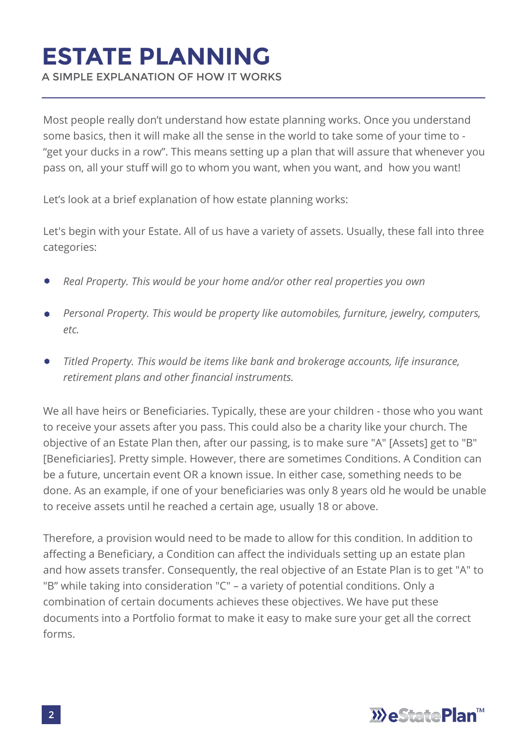# **ESTATE PLANNING**

A SIMPLE EXPLANATION OF HOW IT WORKS

Most people really don't understand how estate planning works. Once you understand some basics, then it will make all the sense in the world to take some of your time to - "get your ducks in a row". This means setting up a plan that will assure that whenever you pass on, all your stuff will go to whom you want, when you want, and how you want!

Let's look at a brief explanation of how estate planning works:

Let's begin with your Estate. All of us have a variety of assets. Usually, these fall into three categories:

- *Real Property. This would be your home and/or other real properties you own*
- *Personal Property. This would be property like automobiles, furniture, jewelry, computers,*   $\blacksquare$ *etc.*
- *Titled Property. This would be items like bank and brokerage accounts, life insurance,*   $\bullet$ *retirement plans and other financial instruments.*

We all have heirs or Beneficiaries. Typically, these are your children - those who you want to receive your assets after you pass. This could also be a charity like your church. The objective of an Estate Plan then, after our passing, is to make sure "A" [Assets] get to "B" [Beneficiaries]. Pretty simple. However, there are sometimes Conditions. A Condition can be a future, uncertain event OR a known issue. In either case, something needs to be done. As an example, if one of your beneficiaries was only 8 years old he would be unable to receive assets until he reached a certain age, usually 18 or above.

Therefore, a provision would need to be made to allow for this condition. In addition to affecting a Beneficiary, a Condition can affect the individuals setting up an estate plan and how assets transfer. Consequently, the real objective of an Estate Plan is to get "A" to "B" while taking into consideration "C" – a variety of potential conditions. Only a combination of certain documents achieves these objectives. We have put these documents into a Portfolio format to make it easy to make sure your get all the correct forms.

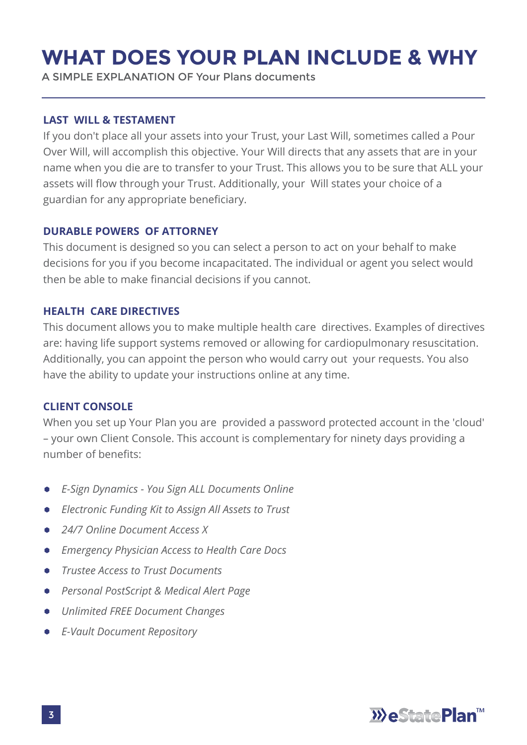### **WHAT DOES YOUR PLAN INCLUDE & WHY**

A SIMPLE EXPLANATION OF Your Plans documents

#### **LAST WILL & TESTAMENT**

If you don't place all your assets into your Trust, your Last Will, sometimes called a Pour Over Will, will accomplish this objective. Your Will directs that any assets that are in your name when you die are to transfer to your Trust. This allows you to be sure that ALL your assets will flow through your Trust. Additionally, your Will states your choice of a guardian for any appropriate beneficiary.

#### **DURABLE POWERS OF ATTORNEY**

This document is designed so you can select a person to act on your behalf to make decisions for you if you become incapacitated. The individual or agent you select would then be able to make financial decisions if you cannot.

#### **HEALTH CARE DIRECTIVES**

This document allows you to make multiple health care directives. Examples of directives are: having life support systems removed or allowing for cardiopulmonary resuscitation. Additionally, you can appoint the person who would carry out your requests. You also have the ability to update your instructions online at any time.

#### **CLIENT CONSOLE**

When you set up Your Plan you are provided a password protected account in the 'cloud' – your own Client Console. This account is complementary for ninety days providing a number of benefits:

- *E-Sign Dynamics You Sign ALL Documents Online*
- *Electronic Funding Kit to Assign All Assets to Trust*  $\bullet$
- *24/7 Online Document Access X*
- *Emergency Physician Access to Health Care Docs*  $\bullet$
- *Trustee Access to Trust Documents*
- *Personal PostScript & Medical Alert Page*  $\bullet$
- *Unlimited FREE Document Changes*
- *E-Vault Document Repository*

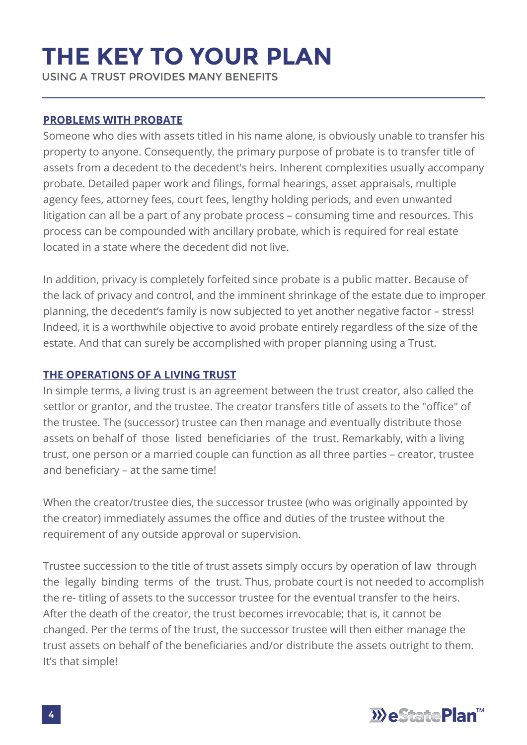# **THE KEY TO YOUR PLAN**

USING A TRUST PROVIDES MANY BENEFITS

#### **PROBLEMS WITH PROBATE**

Someone who dies with assets titled in his name alone, is obviously unable to transfer his property to anyone. Consequently, the primary purpose of probate is to transfer title of assets from a decedent to the decedent's heirs. Inherent complexities usually accompany probate. Detailed paper work and filings, formal hearings, asset appraisals, multiple agency fees, attorney fees, court fees, lengthy holding periods, and even unwanted litigation can all be a part of any probate process – consuming time and resources. This process can be compounded with ancillary probate, which is required for real estate located in a state where the decedent did not live.

In addition, privacy is completely forfeited since probate is a public matter. Because of the lack of privacy and control, and the imminent shrinkage of the estate due to improper planning, the decedent's family is now subjected to yet another negative factor – stress! Indeed, it is a worthwhile objective to avoid probate entirely regardless of the size of the estate. And that can surely be accomplished with proper planning using a Trust.

#### **THE OPERATIONS OF A LIVING TRUST**

In simple terms, a living trust is an agreement between the trust creator, also called the settlor or grantor, and the trustee. The creator transfers title of assets to the "office" of the trustee. The (successor) trustee can then manage and eventually distribute those assets on behalf of those listed beneficiaries of the trust. Remarkably, with a living trust, one person or a married couple can function as all three parties – creator, trustee and beneficiary – at the same time!

When the creator/trustee dies, the successor trustee (who was originally appointed by the creator) immediately assumes the office and duties of the trustee without the requirement of any outside approval or supervision.

Trustee succession to the title of trust assets simply occurs by operation of law through the legally binding terms of the trust. Thus, probate court is not needed to accomplish the re- titling of assets to the successor trustee for the eventual transfer to the heirs. After the death of the creator, the trust becomes irrevocable; that is, it cannot be changed. Per the terms of the trust, the successor trustee will then either manage the trust assets on behalf of the beneficiaries and/or distribute the assets outright to them. It's that simple!

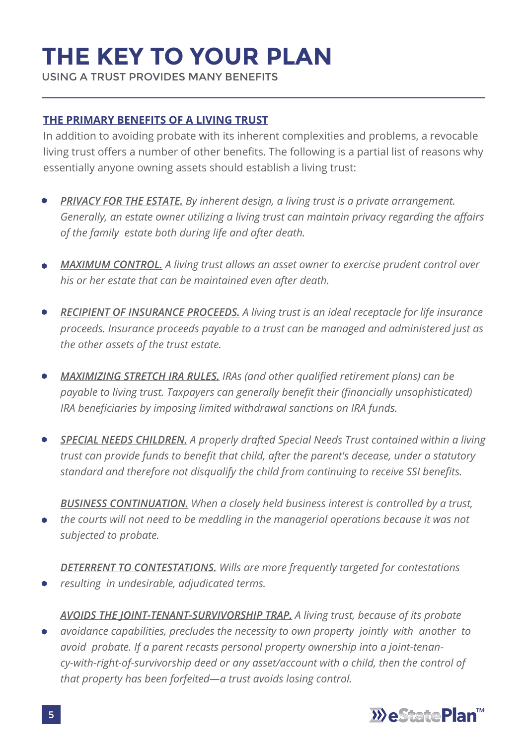# **THE KEY TO YOUR PLAN**

USING A TRUST PROVIDES MANY BENEFITS

#### **THE PRIMARY BENEFITS OF A LIVING TRUST**

In addition to avoiding probate with its inherent complexities and problems, a revocable living trust offers a number of other benefits. The following is a partial list of reasons why essentially anyone owning assets should establish a living trust:

- *PRIVACY FOR THE ESTATE. By inherent design, a living trust is a private arrangement. Generally, an estate owner utilizing a living trust can maintain privacy regarding the affairs of the family estate both during life and after death.*
- *MAXIMUM CONTROL. A living trust allows an asset owner to exercise prudent control over his or her estate that can be maintained even after death.*
- *RECIPIENT OF INSURANCE PROCEEDS. A living trust is an ideal receptacle for life insurance*   $\bullet$ *proceeds. Insurance proceeds payable to a trust can be managed and administered just as the other assets of the trust estate.*
- *MAXIMIZING STRETCH IRA RULES. IRAs (and other qualified retirement plans) can be payable to living trust. Taxpayers can generally benefit their (financially unsophisticated) IRA beneficiaries by imposing limited withdrawal sanctions on IRA funds.*
- *SPECIAL NEEDS CHILDREN. A properly drafted Special Needs Trust contained within a living trust can provide funds to benefit that child, after the parent's decease, under a statutory standard and therefore not disqualify the child from continuing to receive SSI benefits.*

*BUSINESS CONTINUATION. When a closely held business interest is controlled by a trust, the courts will not need to be meddling in the managerial operations because it was not subjected to probate.*

*DETERRENT TO CONTESTATIONS. Wills are more frequently targeted for contestations resulting in undesirable, adjudicated terms.*

*AVOIDS THE JOINT-TENANT-SURVIVORSHIP TRAP. A living trust, because of its probate avoidance capabilities, precludes the necessity to own property jointly with another to*   $\bullet$ *avoid probate. If a parent recasts personal property ownership into a joint-tenancy-with-right-of-survivorship deed or any asset/account with a child, then the control of that property has been forfeited—a trust avoids losing control.*

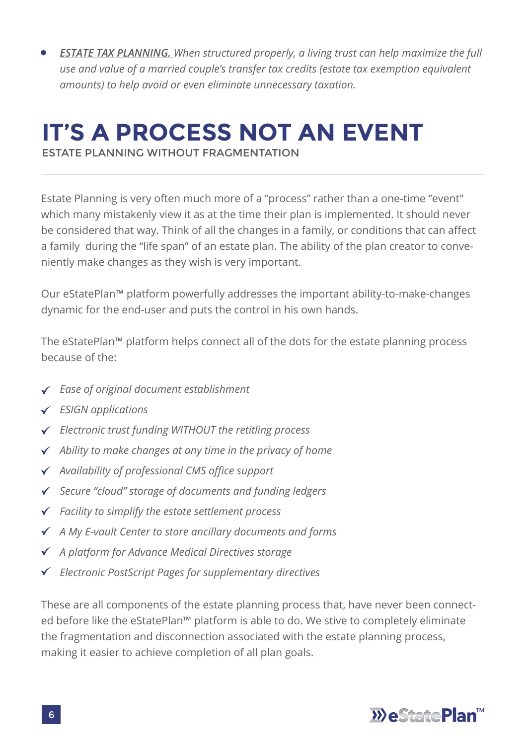*ESTATE TAX PLANNING. When structured properly, a living trust can help maximize the full use and value of a married couple's transfer tax credits (estate tax exemption equivalent amounts) to help avoid or even eliminate unnecessary taxation.*

# **IT'S A PROCESS NOT AN EVENT**

ESTATE PLANNING WITHOUT FRAGMENTATION

Estate Planning is very often much more of a "process" rather than a one-time "event" which many mistakenly view it as at the time their plan is implemented. It should never be considered that way. Think of all the changes in a family, or conditions that can affect a family during the "life span" of an estate plan. The ability of the plan creator to conveniently make changes as they wish is very important.

Our eStatePlan™ platform powerfully addresses the important ability-to-make-changes dynamic for the end-user and puts the control in his own hands.

The eStatePlan™ platform helps connect all of the dots for the estate planning process because of the:

- *Ease of original document establishment*
- *ESIGN applications*
- *Electronic trust funding WITHOUT the retitling process*
- *Ability to make changes at any time in the privacy of home*
- *Availability of professional CMS office support*
- *Secure "cloud" storage of documents and funding ledgers*
- *Facility to simplify the estate settlement process*
- *A My E-vault Center to store ancillary documents and forms*
- *A platform for Advance Medical Directives storage*
- *Electronic PostScript Pages for supplementary directives*

These are all components of the estate planning process that, have never been connected before like the eStatePlan™ platform is able to do. We stive to completely eliminate the fragmentation and disconnection associated with the estate planning process, making it easier to achieve completion of all plan goals.

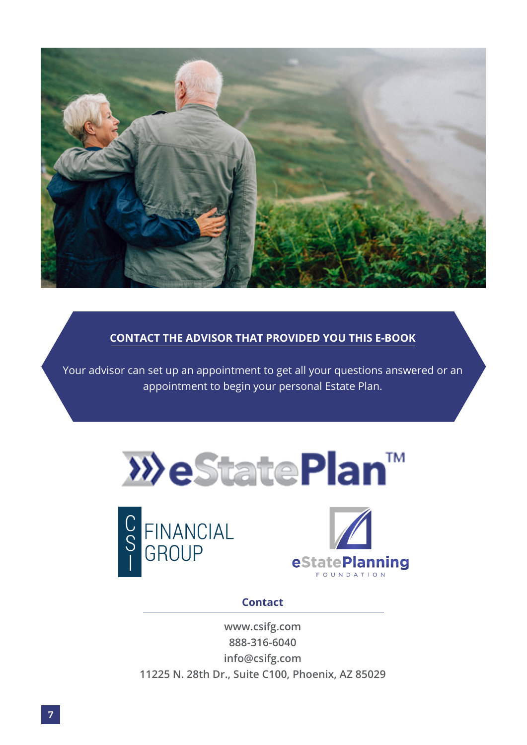

#### **CONTACT THE ADVISOR THAT PROVIDED YOU THIS E-BOOK**

Your advisor can set up an appointment to get all your questions answered or an appointment to begin your personal Estate Plan.







#### **Contact**

**www.csifg.com 888-316-6040 info@csifg.com 11225 N. 28th Dr., Suite C100, Phoenix, AZ 85029**